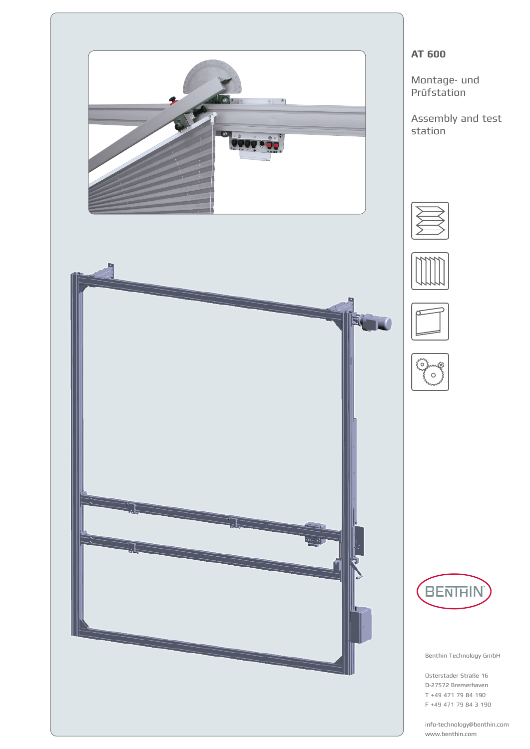